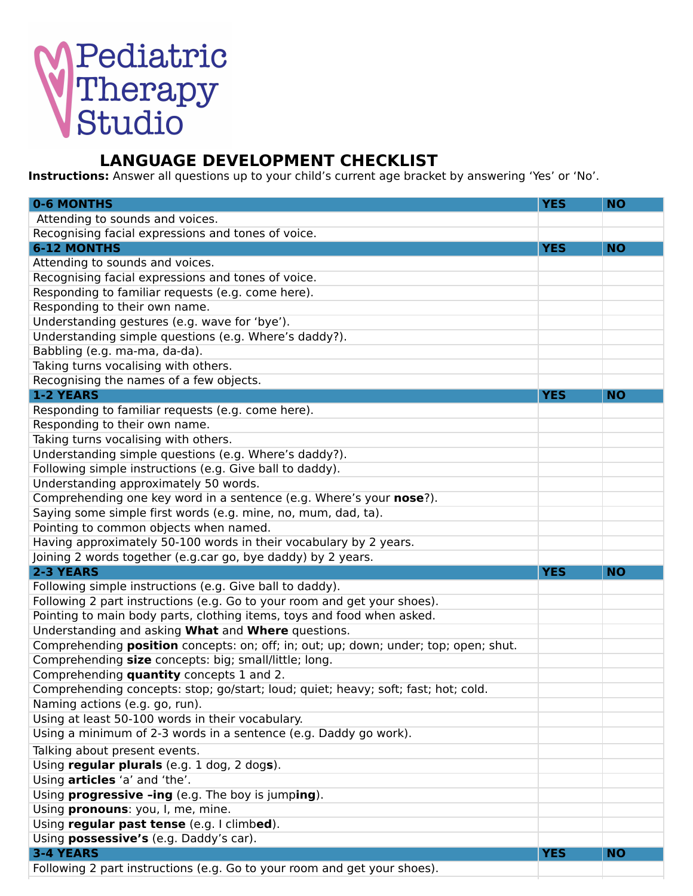## Pediatric<br>Therapy<br>Studio

## **LANGUAGE DEVELOPMENT CHECKLIST**

**Instructions:** Answer all questions up to your child's current age bracket by answering 'Yes' or 'No'.

| <b>0-6 MONTHS</b>                                                                    | <b>YES</b> | <b>NO</b> |
|--------------------------------------------------------------------------------------|------------|-----------|
| Attending to sounds and voices.                                                      |            |           |
| Recognising facial expressions and tones of voice.                                   |            |           |
| <b>6-12 MONTHS</b>                                                                   | <b>YES</b> | <b>NO</b> |
| Attending to sounds and voices.                                                      |            |           |
| Recognising facial expressions and tones of voice.                                   |            |           |
| Responding to familiar requests (e.g. come here).                                    |            |           |
| Responding to their own name.                                                        |            |           |
| Understanding gestures (e.g. wave for 'bye').                                        |            |           |
| Understanding simple questions (e.g. Where's daddy?).                                |            |           |
| Babbling (e.g. ma-ma, da-da).                                                        |            |           |
| Taking turns vocalising with others.                                                 |            |           |
| Recognising the names of a few objects.                                              |            |           |
| <b>1-2 YEARS</b>                                                                     | <b>YES</b> | <b>NO</b> |
| Responding to familiar requests (e.g. come here).                                    |            |           |
| Responding to their own name.                                                        |            |           |
| Taking turns vocalising with others.                                                 |            |           |
| Understanding simple questions (e.g. Where's daddy?).                                |            |           |
| Following simple instructions (e.g. Give ball to daddy).                             |            |           |
| Understanding approximately 50 words.                                                |            |           |
| Comprehending one key word in a sentence (e.g. Where's your nose?).                  |            |           |
| Saying some simple first words (e.g. mine, no, mum, dad, ta).                        |            |           |
| Pointing to common objects when named.                                               |            |           |
| Having approximately 50-100 words in their vocabulary by 2 years.                    |            |           |
| Joining 2 words together (e.g.car go, bye daddy) by 2 years.                         |            |           |
| 2-3 YEARS                                                                            | <b>YES</b> | <b>NO</b> |
| Following simple instructions (e.g. Give ball to daddy).                             |            |           |
| Following 2 part instructions (e.g. Go to your room and get your shoes).             |            |           |
| Pointing to main body parts, clothing items, toys and food when asked.               |            |           |
| Understanding and asking What and Where questions.                                   |            |           |
| Comprehending position concepts: on; off; in; out; up; down; under; top; open; shut. |            |           |
| Comprehending size concepts: big; small/little; long.                                |            |           |
| Comprehending quantity concepts 1 and 2.                                             |            |           |
| Comprehending concepts: stop; go/start; loud; quiet; heavy; soft; fast; hot; cold.   |            |           |
| Naming actions (e.g. go, run).<br>Using at least 50-100 words in their vocabulary.   |            |           |
| Using a minimum of 2-3 words in a sentence (e.g. Daddy go work).                     |            |           |
|                                                                                      |            |           |
| Talking about present events.                                                        |            |           |
| Using regular plurals (e.g. 1 dog, 2 dogs).                                          |            |           |
| Using articles 'a' and 'the'.                                                        |            |           |
| Using progressive -ing (e.g. The boy is jumping).                                    |            |           |
| Using pronouns: you, I, me, mine.<br>Using regular past tense (e.g. I climbed).      |            |           |
| Using possessive's (e.g. Daddy's car).                                               |            |           |
| <b>3-4 YEARS</b>                                                                     | <b>YES</b> | <b>NO</b> |
| Following 2 part instructions (e.g. Go to your room and get your shoes).             |            |           |
|                                                                                      |            |           |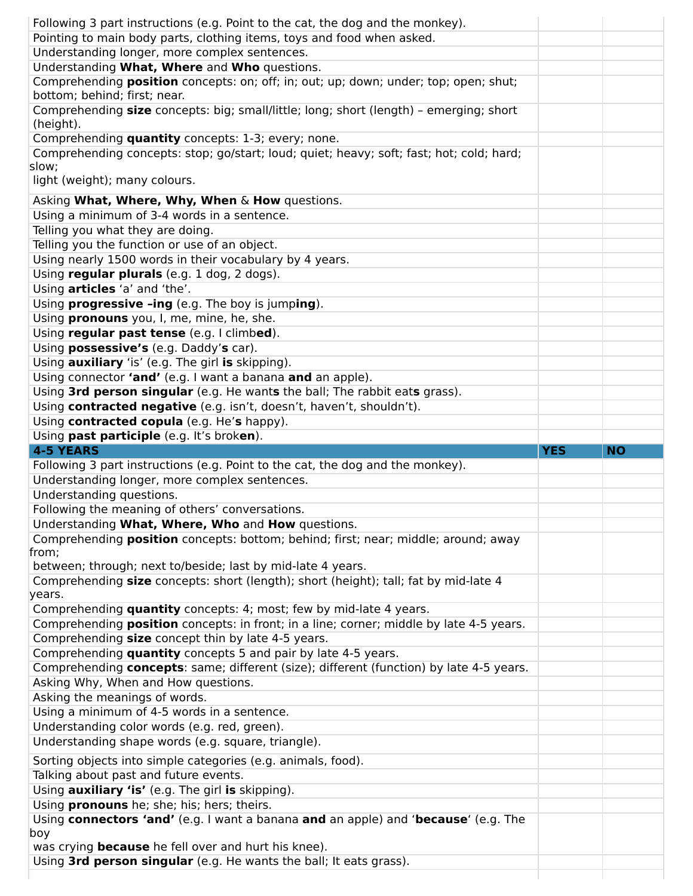| Following 3 part instructions (e.g. Point to the cat, the dog and the monkey).           |            |           |
|------------------------------------------------------------------------------------------|------------|-----------|
| Pointing to main body parts, clothing items, toys and food when asked.                   |            |           |
| Understanding longer, more complex sentences.                                            |            |           |
| Understanding What, Where and Who questions.                                             |            |           |
| Comprehending position concepts: on; off; in; out; up; down; under; top; open; shut;     |            |           |
| bottom; behind; first; near.                                                             |            |           |
| Comprehending size concepts: big; small/little; long; short (length) - emerging; short   |            |           |
| (height).                                                                                |            |           |
| Comprehending quantity concepts: 1-3; every; none.                                       |            |           |
| Comprehending concepts: stop; go/start; loud; quiet; heavy; soft; fast; hot; cold; hard; |            |           |
| slow;                                                                                    |            |           |
| light (weight); many colours.                                                            |            |           |
| Asking What, Where, Why, When & How questions.                                           |            |           |
| Using a minimum of 3-4 words in a sentence.                                              |            |           |
| Telling you what they are doing.                                                         |            |           |
|                                                                                          |            |           |
| Telling you the function or use of an object.                                            |            |           |
| Using nearly 1500 words in their vocabulary by 4 years.                                  |            |           |
| Using regular plurals (e.g. 1 dog, 2 dogs).                                              |            |           |
| Using articles 'a' and 'the'.                                                            |            |           |
| Using <b>progressive -ing</b> (e.g. The boy is jumping).                                 |            |           |
| Using pronouns you, I, me, mine, he, she.                                                |            |           |
| Using regular past tense (e.g. I climbed).                                               |            |           |
| Using possessive's (e.g. Daddy's car).                                                   |            |           |
| Using <b>auxiliary</b> 'is' (e.g. The girl is skipping).                                 |            |           |
| Using connector 'and' (e.g. I want a banana and an apple).                               |            |           |
| Using 3rd person singular (e.g. He wants the ball; The rabbit eats grass).               |            |           |
| Using contracted negative (e.g. isn't, doesn't, haven't, shouldn't).                     |            |           |
| Using contracted copula (e.g. He's happy).                                               |            |           |
| Using past participle (e.g. It's broken).                                                |            |           |
|                                                                                          |            |           |
|                                                                                          |            |           |
| <b>4-5 YEARS</b>                                                                         | <b>YES</b> | <b>NO</b> |
| Following 3 part instructions (e.g. Point to the cat, the dog and the monkey).           |            |           |
| Understanding longer, more complex sentences.                                            |            |           |
| Understanding questions.                                                                 |            |           |
| Following the meaning of others' conversations.                                          |            |           |
| Understanding What, Where, Who and How questions.                                        |            |           |
| Comprehending position concepts: bottom; behind; first; near; middle; around; away       |            |           |
| from;                                                                                    |            |           |
| between; through; next to/beside; last by mid-late 4 years.                              |            |           |
| Comprehending size concepts: short (length); short (height); tall; fat by mid-late 4     |            |           |
| years.                                                                                   |            |           |
| Comprehending quantity concepts: 4; most; few by mid-late 4 years.                       |            |           |
| Comprehending position concepts: in front; in a line; corner; middle by late 4-5 years.  |            |           |
| Comprehending size concept thin by late 4-5 years.                                       |            |           |
| Comprehending quantity concepts 5 and pair by late 4-5 years.                            |            |           |
|                                                                                          |            |           |
| Comprehending concepts: same; different (size); different (function) by late 4-5 years.  |            |           |
| Asking Why, When and How questions.                                                      |            |           |
| Asking the meanings of words.                                                            |            |           |
| Using a minimum of 4-5 words in a sentence.                                              |            |           |
| Understanding color words (e.g. red, green).                                             |            |           |
| Understanding shape words (e.g. square, triangle).                                       |            |           |
| Sorting objects into simple categories (e.g. animals, food).                             |            |           |
| Talking about past and future events.                                                    |            |           |
| Using <b>auxiliary 'is'</b> (e.g. The girl is skipping).                                 |            |           |
| Using pronouns he; she; his; hers; theirs.                                               |            |           |
| Using connectors 'and' (e.g. I want a banana and an apple) and 'because' (e.g. The       |            |           |
| boy                                                                                      |            |           |
| was crying <b>because</b> he fell over and hurt his knee).                               |            |           |
| Using 3rd person singular (e.g. He wants the ball; It eats grass).                       |            |           |
|                                                                                          |            |           |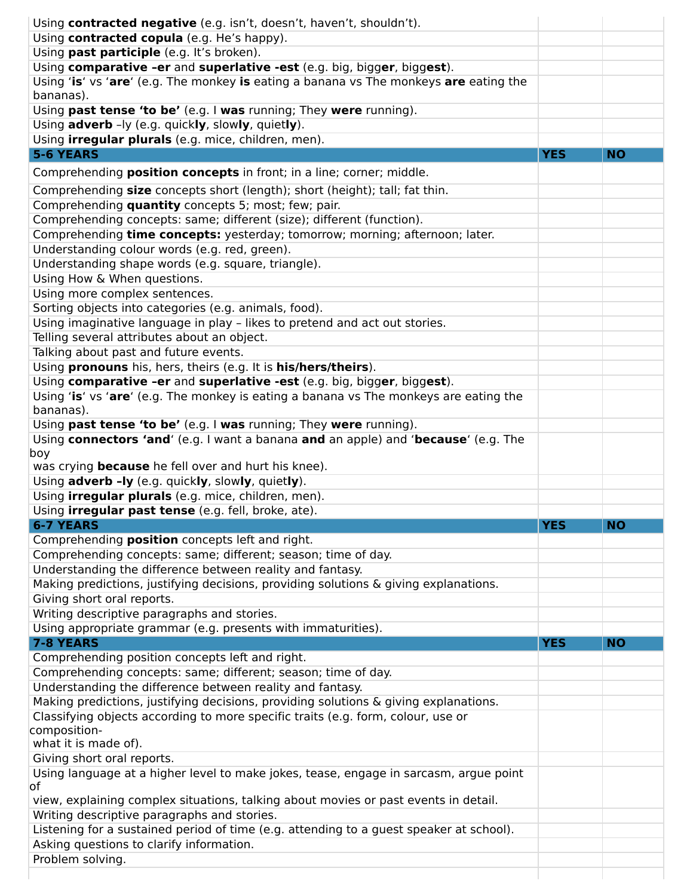| Using contracted negative (e.g. isn't, doesn't, haven't, shouldn't).                        |            |           |
|---------------------------------------------------------------------------------------------|------------|-----------|
| Using contracted copula (e.g. He's happy).                                                  |            |           |
| Using past participle (e.g. It's broken).                                                   |            |           |
| Using comparative -er and superlative -est (e.g. big, bigger, biggest).                     |            |           |
| Using 'is' vs 'are' (e.g. The monkey is eating a banana vs The monkeys are eating the       |            |           |
| bananas).                                                                                   |            |           |
| Using past tense 'to be' (e.g. I was running; They were running).                           |            |           |
| Using adverb -ly (e.g. quickly, slowly, quietly).                                           |            |           |
| Using <i>irregular plurals</i> (e.g. mice, children, men).                                  |            |           |
| <b>5-6 YEARS</b>                                                                            | <b>YES</b> | <b>NO</b> |
| Comprehending <b>position concepts</b> in front; in a line; corner; middle.                 |            |           |
| Comprehending size concepts short (length); short (height); tall; fat thin.                 |            |           |
| Comprehending quantity concepts 5; most; few; pair.                                         |            |           |
| Comprehending concepts: same; different (size); different (function).                       |            |           |
| Comprehending time concepts: yesterday; tomorrow; morning; afternoon; later.                |            |           |
| Understanding colour words (e.g. red, green).                                               |            |           |
| Understanding shape words (e.g. square, triangle).                                          |            |           |
| Using How & When questions.                                                                 |            |           |
| Using more complex sentences.                                                               |            |           |
| Sorting objects into categories (e.g. animals, food).                                       |            |           |
| Using imaginative language in play - likes to pretend and act out stories.                  |            |           |
| Telling several attributes about an object.                                                 |            |           |
| Talking about past and future events.                                                       |            |           |
| Using pronouns his, hers, theirs (e.g. It is his/hers/theirs).                              |            |           |
| Using comparative -er and superlative -est (e.g. big, bigger, biggest).                     |            |           |
| Using 'is' vs 'are' (e.g. The monkey is eating a banana vs The monkeys are eating the       |            |           |
| bananas).                                                                                   |            |           |
| Using past tense 'to be' (e.g. I was running; They were running).                           |            |           |
| Using connectors 'and' (e.g. I want a banana and an apple) and 'because' (e.g. The          |            |           |
|                                                                                             |            |           |
| boy                                                                                         |            |           |
| was crying <b>because</b> he fell over and hurt his knee).                                  |            |           |
| Using adverb -ly (e.g. quickly, slowly, quietly).                                           |            |           |
| Using <b>irregular plurals</b> (e.g. mice, children, men).                                  |            |           |
| Using <i>irregular past tense</i> (e.g. fell, broke, ate).                                  |            |           |
| <b>6-7 YEARS</b>                                                                            | <b>YES</b> | <b>NO</b> |
| Comprehending position concepts left and right.                                             |            |           |
| Comprehending concepts: same; different; season; time of day.                               |            |           |
| Understanding the difference between reality and fantasy.                                   |            |           |
| Making predictions, justifying decisions, providing solutions & giving explanations.        |            |           |
| Giving short oral reports.                                                                  |            |           |
| Writing descriptive paragraphs and stories.                                                 |            |           |
| Using appropriate grammar (e.g. presents with immaturities).                                |            |           |
| 7-8 YEARS                                                                                   | <b>YES</b> | <b>NO</b> |
| Comprehending position concepts left and right.                                             |            |           |
| Comprehending concepts: same; different; season; time of day.                               |            |           |
| Understanding the difference between reality and fantasy.                                   |            |           |
| Making predictions, justifying decisions, providing solutions & giving explanations.        |            |           |
| Classifying objects according to more specific traits (e.g. form, colour, use or            |            |           |
| composition-                                                                                |            |           |
| what it is made of).<br>Giving short oral reports.                                          |            |           |
|                                                                                             |            |           |
| Using language at a higher level to make jokes, tease, engage in sarcasm, argue point<br>οf |            |           |
| view, explaining complex situations, talking about movies or past events in detail.         |            |           |
| Writing descriptive paragraphs and stories.                                                 |            |           |
| Listening for a sustained period of time (e.g. attending to a guest speaker at school).     |            |           |
| Asking questions to clarify information.                                                    |            |           |
| Problem solving.                                                                            |            |           |